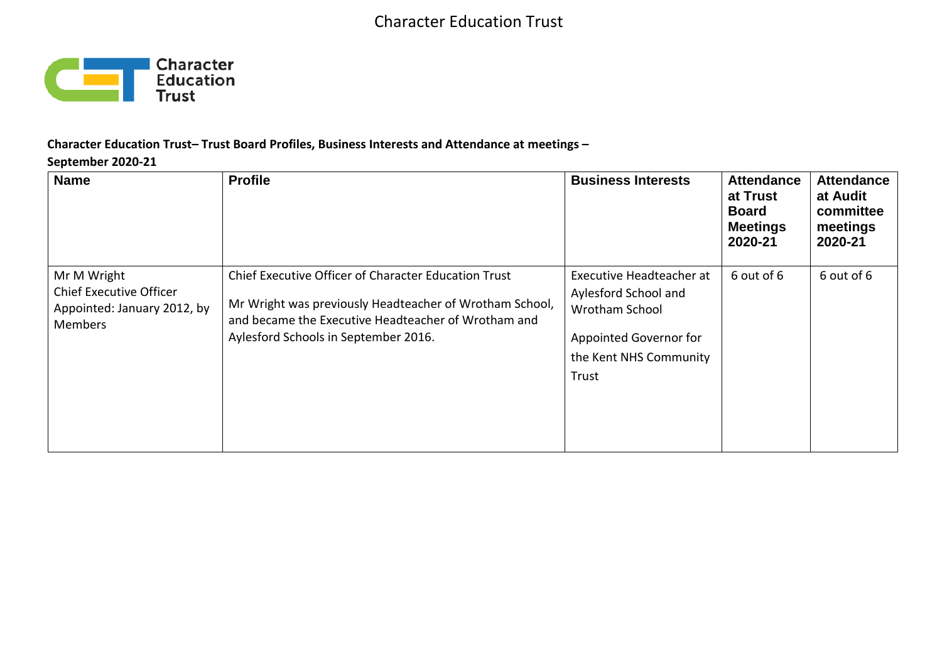

#### **Character Education Trust– Trust Board Profiles, Business Interests and Attendance at meetings –**

#### **September 2020-21**

| <b>Name</b>                                                                                    | <b>Profile</b>                                                                                                                                                                                                 | <b>Business Interests</b>                                                                                                       | <b>Attendance</b><br>at Trust<br><b>Board</b><br><b>Meetings</b><br>2020-21 | <b>Attendance</b><br>at Audit<br>committee<br>meetings<br>2020-21 |
|------------------------------------------------------------------------------------------------|----------------------------------------------------------------------------------------------------------------------------------------------------------------------------------------------------------------|---------------------------------------------------------------------------------------------------------------------------------|-----------------------------------------------------------------------------|-------------------------------------------------------------------|
| Mr M Wright<br><b>Chief Executive Officer</b><br>Appointed: January 2012, by<br><b>Members</b> | Chief Executive Officer of Character Education Trust<br>Mr Wright was previously Headteacher of Wrotham School,<br>and became the Executive Headteacher of Wrotham and<br>Aylesford Schools in September 2016. | Executive Headteacher at<br>Aylesford School and<br>Wrotham School<br>Appointed Governor for<br>the Kent NHS Community<br>Trust | 6 out of 6                                                                  | 6 out of 6                                                        |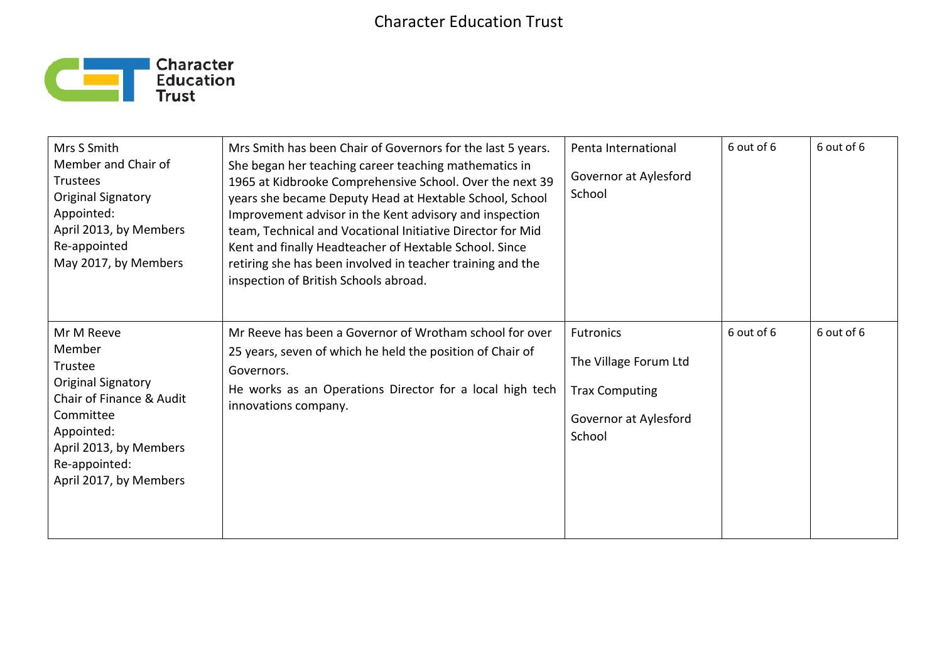## Character Education Trust



| Mrs S Smith<br>Member and Chair of<br><b>Trustees</b><br>Original Signatory<br>Appointed:<br>April 2013, by Members<br>Re-appointed<br>May 2017, by Members                       | Mrs Smith has been Chair of Governors for the last 5 years.<br>She began her teaching career teaching mathematics in<br>1965 at Kidbrooke Comprehensive School. Over the next 39<br>years she became Deputy Head at Hextable School, School<br>Improvement advisor in the Kent advisory and inspection<br>team, Technical and Vocational Initiative Director for Mid<br>Kent and finally Headteacher of Hextable School. Since<br>retiring she has been involved in teacher training and the<br>inspection of British Schools abroad. | Penta International<br>Governor at Aylesford<br>School                                                | 6 out of 6 | 6 out of 6 |
|-----------------------------------------------------------------------------------------------------------------------------------------------------------------------------------|---------------------------------------------------------------------------------------------------------------------------------------------------------------------------------------------------------------------------------------------------------------------------------------------------------------------------------------------------------------------------------------------------------------------------------------------------------------------------------------------------------------------------------------|-------------------------------------------------------------------------------------------------------|------------|------------|
| Mr M Reeve<br>Member<br>Trustee<br>Original Signatory<br>Chair of Finance & Audit<br>Committee<br>Appointed:<br>April 2013, by Members<br>Re-appointed:<br>April 2017, by Members | Mr Reeve has been a Governor of Wrotham school for over<br>25 years, seven of which he held the position of Chair of<br>Governors.<br>He works as an Operations Director for a local high tech<br>innovations company.                                                                                                                                                                                                                                                                                                                | <b>Futronics</b><br>The Village Forum Ltd<br><b>Trax Computing</b><br>Governor at Aylesford<br>School | 6 out of 6 | 6 out of 6 |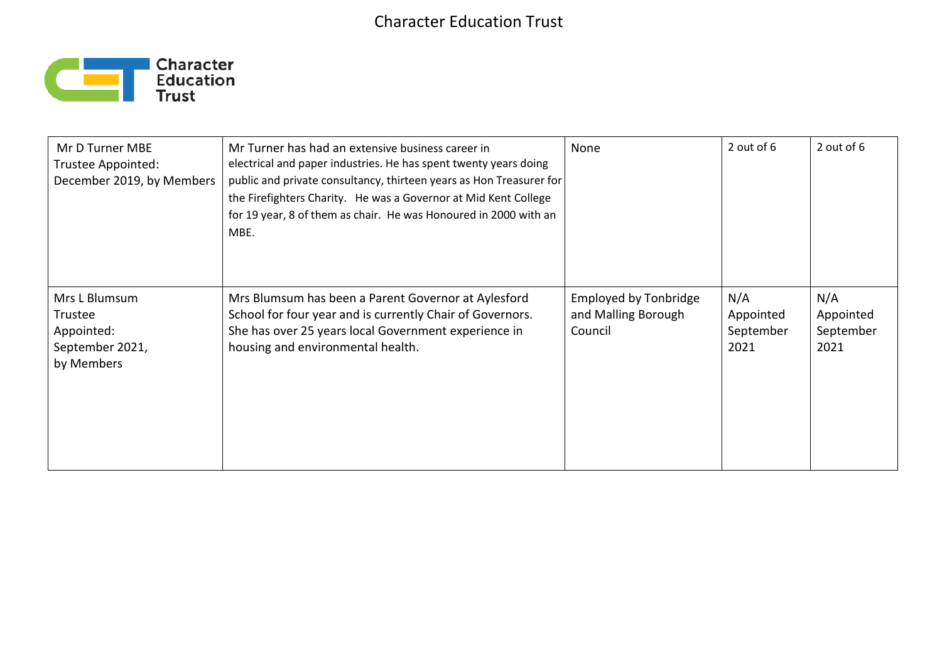# Character Education Trust



| Mr D Turner MBE<br>Trustee Appointed:<br>December 2019, by Members      | Mr Turner has had an extensive business career in<br>electrical and paper industries. He has spent twenty years doing<br>public and private consultancy, thirteen years as Hon Treasurer for<br>the Firefighters Charity. He was a Governor at Mid Kent College<br>for 19 year, 8 of them as chair. He was Honoured in 2000 with an<br>MBE. | None                                                           | 2 out of 6                            | 2 out of 6                            |
|-------------------------------------------------------------------------|---------------------------------------------------------------------------------------------------------------------------------------------------------------------------------------------------------------------------------------------------------------------------------------------------------------------------------------------|----------------------------------------------------------------|---------------------------------------|---------------------------------------|
| Mrs L Blumsum<br>Trustee<br>Appointed:<br>September 2021,<br>by Members | Mrs Blumsum has been a Parent Governor at Aylesford<br>School for four year and is currently Chair of Governors.<br>She has over 25 years local Government experience in<br>housing and environmental health.                                                                                                                               | <b>Employed by Tonbridge</b><br>and Malling Borough<br>Council | N/A<br>Appointed<br>September<br>2021 | N/A<br>Appointed<br>September<br>2021 |